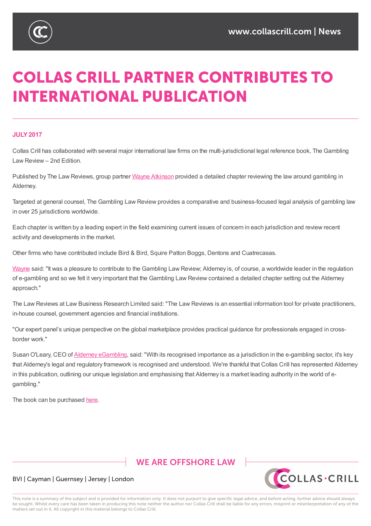

# **COLLAS CRILL PARTNER CONTRIBUTES TO INTERNATIONAL PUBLICATION**

#### **JULY2017**

Collas Crill has collaborated with several major international law firms on the multi-jurisdictional legal reference book, The Gambling Law Review – 2nd Edition.

Published by The Law Reviews, group partner Wayne Atkinson provided a detailed chapter reviewing the law around gambling in Alderney.

Targeted at general counsel, The Gambling Law [Review](https://www.collascrill.com/who-we-are/a/wayne-atkinson/) provides a comparative and business-focused legal analysis of gambling law in over 25 jurisdictions worldwide.

Each chapter is written by a leading expert in the field examining current issues of concern in each jurisdiction and review recent activity and developments in the market.

Other firms who have contributed include Bird & Bird, Squire Patton Boggs, Dentons and Cuatrecasas.

Wayne said: "It was a pleasure to contribute to the Gambling Law Review; Alderney is, of course, a worldwide leader in the regulation of e-gambling and so we felt it very important that the Gambling Law Review contained a detailed chapter setting out the Alderney approach."

[The](https://www.collascrill.com/who-we-are/a/wayne-atkinson/) Law Reviews at Law Business Research Limited said: "The Law Reviews is an essential information tool for private practitioners, in-house counsel, government agencies and financial institutions.

"Our expert panel's unique perspective on the global marketplace provides practical guidance for professionals engaged in crossborder work."

Susan O'Leary, CEO of Alderney eGambling, said: "With its recognised importance as a jurisdiction in the e-gambling sector, it's key that Alderney's legal and regulatory framework is recognised and understood. We're thankful that Collas Crill has represented Alderney in this publication, outlining our unique legislation and emphasising that Alderney is a market leading authority in the world of egambling."

The book can be purchased here.

### **WE ARE OFFSHORE LAW**



#### BVI | Cayman | Guernsey | Jersey | London

This note is a summary of the subject and is provided for information only. It does not purport to give specific legal advice, and before acting, further advice should always be sought. Whilst every care has been taken in producing this note neither the author nor Collas Crill shall be liable for any errors, misprint or misinterpretation of any of the matters set out in it. All copyright in this material belongs to Collas Crill.